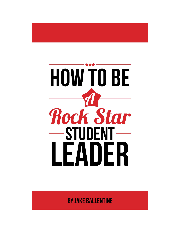# **HOW TO BE** Rock Star -STUDENT-LEADER

**BY JAKE BALLENTINE**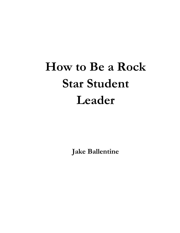# **How to Be a Rock Star Student Leader**

**Jake Ballentine**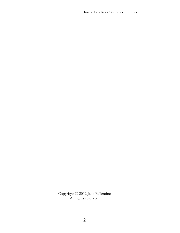How to Be a Rock Star Student Leader

Copyright © 2012 Jake Ballentine All rights reserved.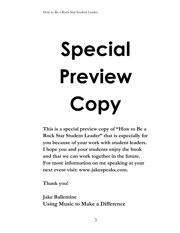# **Special Preview Copy**

**This is a special preview copy of "How to Be a Rock Star Student Leader" that is especially for you because of your work with student leaders. I hope you and your students enjoy the book and that we can work together in the future. For more information on me speaking at your next event visit: www.jakespeaks.com.**

**Thank you!**

**Jake Ballentine Using Music to Make a Difference**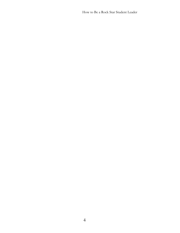How to Be a Rock Star Student Leader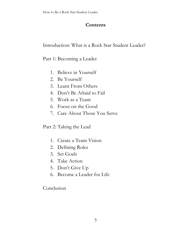# **Contents**

Introduction: What is a Rock Star Student Leader?

Part 1: Becoming a Leader

- 1. Believe in Yourself
- 2. Be Yourself
- 3. Learn From Others
- 4. Don't Be Afraid to Fail
- 5. Work as a Team
- 6. Focus on the Good
- 7. Care About Those You Serve

Part 2: Taking the Lead

- 1. Create a Team Vision
- 2. Defining Roles
- 3. Set Goals
- 4. Take Action
- 5. Don't Give Up
- 6. Become a Leader for Life

Conclusion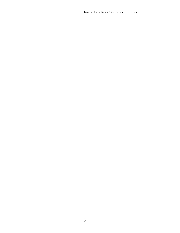How to Be a Rock Star Student Leader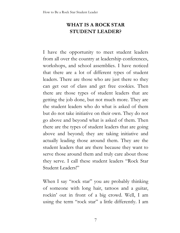# **WHAT IS A ROCK STAR STUDENT LEADER?**

I have the opportunity to meet student leaders from all over the country at leadership conferences, workshops, and school assemblies. I have noticed that there are a lot of different types of student leaders. There are those who are just there so they can get out of class and get free cookies. Then there are those types of student leaders that are getting the job done, but not much more. They are the student leaders who do what is asked of them but do not take initiative on their own. They do not go above and beyond what is asked of them. Then there are the types of student leaders that are going above and beyond; they are taking initiative and actually leading those around them. They are the student leaders that are there because they want to serve those around them and truly care about those they serve. I call these student leaders "Rock Star Student Leaders!"

When I say "rock star" you are probably thinking of someone with long hair, tattoos and a guitar, rockin' out in front of a big crowd. Well, I am using the term "rock star" a little differently. I am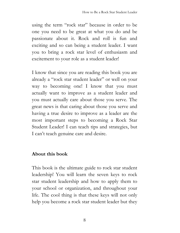using the term "rock star" because in order to be one you need to be great at what you do and be passionate about it. Rock and roll is fun and exciting and so can being a student leader. I want you to bring a rock star level of enthusiasm and excitement to your role as a student leader!

I know that since you are reading this book you are already a "rock star student leader" or well on your way to becoming one! I know that you must actually want to improve as a student leader and you must actually care about those you serve. The great news is that caring about those you serve and having a true desire to improve as a leader are the most important steps to becoming a Rock Star Student Leader! I can teach tips and strategies, but I can't teach genuine care and desire.

#### **About this book**

This book is the ultimate guide to rock star student leadership! You will learn the seven keys to rock star student leadership and how to apply them to your school or organization, and throughout your life. The cool thing is that these keys will not only help you become a rock star student leader but they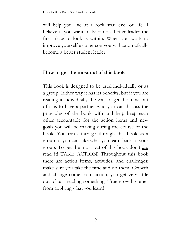will help you live at a rock star level of life. I believe if you want to become a better leader the first place to look is within. When you work to improve yourself as a person you will automatically become a better student leader.

### **How to get the most out of this book**

This book is designed to be used individually or as a group. Either way it has its benefits, but if you are reading it individually the way to get the most out of it is to have a partner who you can discuss the principles of the book with and help keep each other accountable for the action items and new goals you will be making during the course of the book. You can either go through this book as a group or you can take what you learn back to your group. To get the most out of this book don't *just* read it! TAKE ACTION! Throughout this book there are action items, activities, and challenges; make sure you take the time and do them. Growth and change come from action; you get very little out of just reading something. True growth comes from applying what you learn!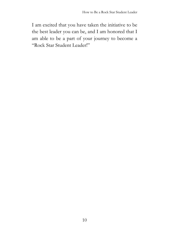I am excited that you have taken the initiative to be the best leader you can be, and I am honored that I am able to be a part of your journey to become a "Rock Star Student Leader!"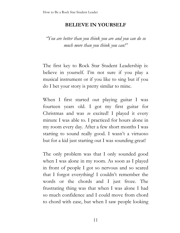# **BELIEVE IN YOURSELF**

*"You are better than you think you are and you can do so much more than you think you can!"*

The first key to Rock Star Student Leadership is: believe in yourself. I'm not sure if you play a musical instrument or if you like to sing but if you do I bet your story is pretty similar to mine.

When I first started out playing guitar I was fourteen years old. I got my first guitar for Christmas and was *so* excited! I played it every minute I was able to. I practiced for hours alone in my room every day. After a few short months I was starting to sound really good. I wasn't a virtuoso but for a kid just starting out I was sounding great!

The only problem was that I only sounded good when I was alone in my room. As soon as I played in front of people I got so nervous and so scared that I forgot everything! I couldn't remember the words or the chords and I just froze. The frustrating thing was that when I was alone I had so much confidence and I could move from chord to chord with ease, but when I saw people looking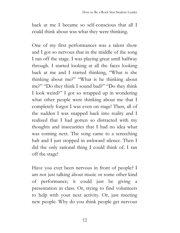back at me I became so self-conscious that all I could think about was what they were thinking.

One of my first performances was a talent show and I got so nervous that in the middle of the song I ran off the stage. I was playing great until halfway through. I started looking at all the faces looking back at me and I started thinking, "What is she thinking about me?" "What is he thinking about me?" "Do they think I sound bad?" "Do they think I look weird?" I got so wrapped up in wondering what other people were thinking about me that I completely forgot I was even on stage! Then, all of the sudden I was snapped back into reality and I realized that I had gotten so distracted with my thoughts and insecurities that I had no idea what was coming next. The song came to a screeching halt and I just stopped in awkward silence. Then I did the only rational thing I could think of. I ran off the stage!

Have you ever been nervous in front of people? I am not just talking about music or some other kind of performance; it could just be giving a presentation in class. Or, trying to find volunteers to help with your next activity. Or, just meeting new people. Why do you think people get nervous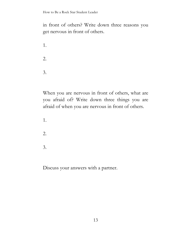in front of others? Write down three reasons you get nervous in front of others.

1. 2. 3.

When you are nervous in front of others, what are you afraid of? Write down three things you are afraid of when you are nervous in front of others.

1.

2.

3.

Discuss your answers with a partner.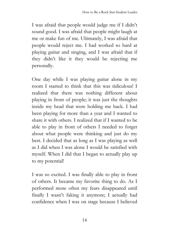I was afraid that people would judge me if I didn't sound good. I was afraid that people might laugh at me or make fun of me. Ultimately, I was afraid that people would reject me. I had worked so hard at playing guitar and singing, and I was afraid that if they didn't like it they would be rejecting me personally.

One day while I was playing guitar alone in my room I started to think that this was ridiculous! I realized that there was nothing different about playing in front of people; it was just the thoughts inside my head that were holding me back. I had been playing for more than a year and I wanted to share it with others. I realized that if I wanted to be able to play in front of others I needed to forget about what people were thinking and just do my best. I decided that as long as I was playing as well as I did when I was alone I would be satisfied with myself. When I did that I began to actually play up to my potential!

I was so excited. I was finally able to play in front of others. It became my favorite thing to do. As I performed more often my fears disappeared until finally I wasn't faking it anymore; I actually had confidence when I was on stage because I believed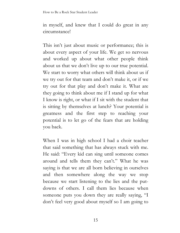How to Be a Rock Star Student Leader

in myself, and knew that I could do great in any circumstance!

This isn't just about music or performance; this is about every aspect of your life. We get so nervous and worked up about what other people think about us that we don't live up to our true potential. We start to worry what others will think about us if we try out for that team and don't make it, or if we try out for that play and don't make it. What are they going to think about me if I stand up for what I know is right, or what if I sit with the student that is sitting by themselves at lunch? Your potential is greatness and the first step to reaching your potential is to let go of the fears that are holding you back.

When I was in high school I had a choir teacher that said something that has always stuck with me. He said: "Every kid can sing until someone comes around and tells them they can't." What he was saying is that we are all born believing in ourselves and then somewhere along the way we stop because we start listening to the lies and the putdowns of others. I call them lies because when someone puts you down they are really saying, "I don't feel very good about myself so I am going to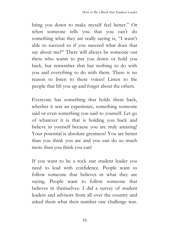bring you down to make myself feel better." Or when someone tells you that you can't do something what they are really saying is, "I wasn't able to succeed so if you succeed what does that say about me?" There will always be someone out there who wants to put you down or hold you back, but remember that has nothing to do with you and everything to do with them. There is no reason to listen to these voices! Listen to the people that lift you up and forget about the others.

Everyone has something that holds them back, whether it was an experience, something someone said or even something you said to yourself. Let go of whatever it is that is holding you back and believe in yourself because you are truly amazing! Your potential is absolute greatness! You are better than you think you are and you can do so much more than you think you can!

If you want to be a rock star student leader you need to lead with confidence. People want to follow someone that believes in what they are saying. People want to follow someone that believes in themselves. I did a survey of student leaders and advisors from all over the country and asked them what their number one challenge was.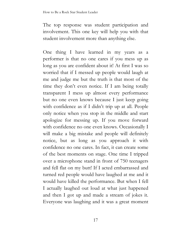The top response was student participation and involvement. This one key will help you with that student involvement more than anything else.

One thing I have learned in my years as a performer is that no one cares if you mess up as long as you are confident about it! At first I was so worried that if I messed up people would laugh at me and judge me but the truth is that most of the time they don't even notice. If I am being totally transparent I mess up almost every performance but no one even knows because I just keep going with confidence as if I didn't trip up at all. People only notice when you stop in the middle and start apologize for messing up. If you move forward with confidence no one even knows. Occasionally I will make a big mistake and people will definitely notice, but as long as you approach it with confidence no one cares. In fact, it can create some of the best moments on stage. One time I tripped over a microphone stand in front of 750 teenagers and fell flat on my butt! If I acted embarrassed and turned red people would have laughed at me and it would have killed the performance. But when I fell I actually laughed out loud at what just happened and then I got up and made a stream of jokes it. Everyone was laughing and it was a great moment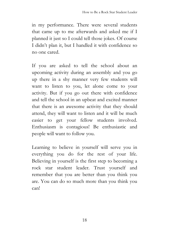in my performance. There were several students that came up to me afterwards and asked me if I planned it just so I could tell those jokes. Of course I didn't plan it, but I handled it with confidence so no one cared.

If you are asked to tell the school about an upcoming activity during an assembly and you go up there in a shy manner very few students will want to listen to you, let alone come to your activity. But if you go out there with confidence and tell the school in an upbeat and excited manner that there is an awesome activity that they should attend, they will want to listen and it will be much easier to get your fellow students involved. Enthusiasm is contagious! Be enthusiastic and people will want to follow you.

Learning to believe in yourself will serve you in everything you do for the rest of your life. Believing in yourself is the first step to becoming a rock star student leader. Trust yourself and remember that you are better than you think you are. You can do so much more than you think you can!

18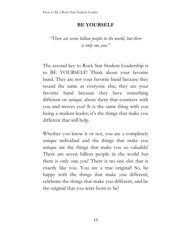# **BE YOURSELF**

# *"There are seven billion people in the world, but there is only one you."*

The second key to Rock Star Student Leadership is to BE YOURSELF! Think about your favorite band. They are not your favorite band because they sound the same as everyone else; they are your favorite band because they have something different or unique about them that connects with you and moves you! It is the same thing with you being a student leader; it's the things that make you different that will help.

Whether you know it or not, you are a completely unique individual and the things that make you unique are the things that make you so valuable! There are seven billion people in the world but there is only one you! There is no one else that is exactly like you. You are a true original! So, be happy with the things that make you different, celebrate the things that make you different, and be the original that you were born to be!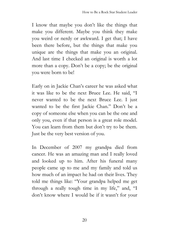I know that maybe you don't like the things that make you different. Maybe you think they make you weird or nerdy or awkward. I get that; I have been there before, but the things that make you unique are the things that make you an original. And last time I checked an original is worth a lot more than a copy. Don't be a copy; be the original you were born to be!

Early on in Jackie Chan's career he was asked what it was like to be the next Bruce Lee. He said, "I never wanted to be the next Bruce Lee. I just wanted to be the first Jackie Chan." Don't be a copy of someone else when you can be the one and only you, even if that person is a great role model. You can learn from them but don't try to be them. Just be the very best version of you.

In December of 2007 my grandpa died from cancer. He was an amazing man and I really loved and looked up to him. After his funeral many people came up to me and my family and told us how much of an impact he had on their lives. They told me things like: "Your grandpa helped me get through a really tough time in my life," and, "I don't know where I would be if it wasn't for your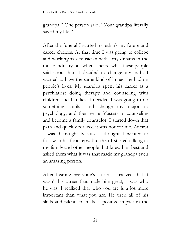How to Be a Rock Star Student Leader

grandpa." One person said, "Your grandpa literally saved my life."

After the funeral I started to rethink my future and career choices. At that time I was going to college and working as a musician with lofty dreams in the music industry but when I heard what these people said about him I decided to change my path. I wanted to have the same kind of impact he had on people's lives. My grandpa spent his career as a psychiatrist doing therapy and counseling with children and families. I decided I was going to do something similar and change my major to psychology, and then get a Masters in counseling and become a family counselor. I started down that path and quickly realized it was not for me. At first I was distraught because I thought I wanted to follow in his footsteps. But then I started talking to my family and other people that knew him best and asked them what it was that made my grandpa such an amazing person.

After hearing everyone's stories I realized that it wasn't his career that made him great; it was who he was. I realized that who you are is a lot more important than what you are. He used all of his skills and talents to make a positive impact in the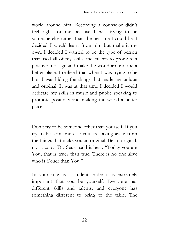world around him. Becoming a counselor didn't feel right for me because I was trying to be someone else rather than the best me I could be. I decided I would learn from him but make it my own. I decided I wanted to be the type of person that used all of my skills and talents to promote a positive message and make the world around me a better place. I realized that when I was trying to be him I was hiding the things that made me unique and original. It was at that time I decided I would dedicate my skills in music and public speaking to promote positivity and making the world a better place.

Don't try to be someone other than yourself. If you try to be someone else you are taking away from the things that make you an original. Be an original, not a copy. Dr. Seuss said it best: "Today you are You, that is truer than true. There is no one alive who is Youer than You."

In your role as a student leader it is extremely important that you be yourself. Everyone has different skills and talents, and everyone has something different to bring to the table. The

22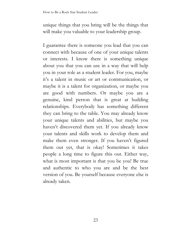unique things that you bring will be the things that will make you valuable to your leadership group.

I guarantee there is someone you lead that you can connect with because of one of your unique talents or interests. I know there is something unique about you that you can use in a way that will help you in your role as a student leader. For you, maybe it's a talent in music or art or communication, or maybe it is a talent for organization, or maybe you are good with numbers. Or maybe you are a genuine, kind person that is great at building relationships. Everybody has something different they can bring to the table. You may already know your unique talents and abilities, but maybe you haven't discovered them yet. If you already know your talents and skills work to develop them and make them even stronger. If you haven't figured them out yet, that is okay! Sometimes it takes people a long time to figure this out. Either way, what is most important is that you be you! Be true and authentic to who you are and be the best version of you. Be yourself because everyone else is already taken.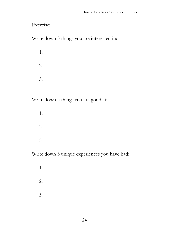# Exercise:

Write down 3 things you are interested in:

| 1. |  |  |  |
|----|--|--|--|
| 2. |  |  |  |
| 3. |  |  |  |

Write down 3 things you are good at:

1. 2. 3.

Write down 3 unique experiences you have had:

1. 2. 3.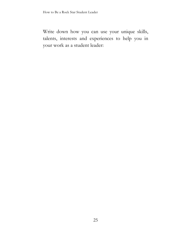Write down how you can use your unique skills, talents, interests and experiences to help you in your work as a student leader: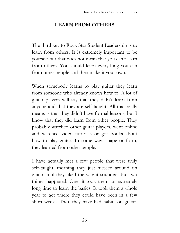# **LEARN FROM OTHERS**

The third key to Rock Star Student Leadership is to learn from others. It is extremely important to be yourself but that does not mean that you can't learn from others. You should learn everything you can from other people and then make it your own.

When somebody learns to play guitar they learn from someone who already knows how to. A lot of guitar players will say that they didn't learn from anyone and that they are self-taught. All that really means is that they didn't have formal lessons, but I know that they did learn from other people. They probably watched other guitar players, went online and watched video tutorials or got books about how to play guitar. In some way, shape or form, they learned from other people.

I have actually met a few people that were truly self-taught, meaning they just messed around on guitar until they liked the way it sounded. But two things happened. One, it took them an extremely long time to learn the basics. It took them a whole year to get where they could have been in a few short weeks. Two, they have bad habits on guitar.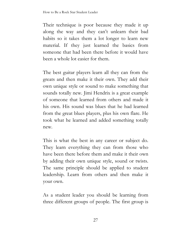Their technique is poor because they made it up along the way and they can't unlearn their bad habits so it takes them a lot longer to learn new material. If they just learned the basics from someone that had been there before it would have been a whole lot easier for them.

The best guitar players learn all they can from the greats and then make it their own. They add their own unique style or sound to make something that sounds totally new. Jimi Hendrix is a great example of someone that learned from others and made it his own. His sound was blues that he had learned from the great blues players, plus his own flare. He took what he learned and added something totally new.

This is what the best in any career or subject do. They learn everything they can from those who have been there before them and make it their own by adding their own unique style, sound or twists. The same principle should be applied to student leadership. Learn from others and then make it your own.

As a student leader you should be learning from three different groups of people. The first group is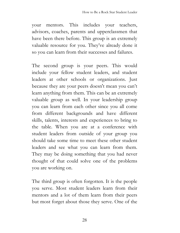your mentors. This includes your teachers, advisors, coaches, parents and upperclassmen that have been there before. This group is an extremely valuable resource for you. They've already done it so you can learn from their successes and failures.

The second group is your peers. This would include your fellow student leaders, and student leaders at other schools or organizations. Just because they are your peers doesn't mean you can't learn anything from them. This can be an extremely valuable group as well. In your leadership group you can learn from each other since you all come from different backgrounds and have different skills, talents, interests and experiences to bring to the table. When you are at a conference with student leaders from outside of your group you should take some time to meet these other student leaders and see what you can learn from them. They may be doing something that you had never thought of that could solve one of the problems you are working on.

The third group is often forgotten. It is the people you serve. Most student leaders learn from their mentors and a lot of them learn from their peers but most forget about those they serve. One of the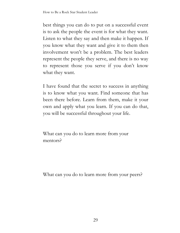best things you can do to put on a successful event is to ask the people the event is for what they want. Listen to what they say and then make it happen. If you know what they want and give it to them then involvement won't be a problem. The best leaders represent the people they serve, and there is no way to represent those you serve if you don't know what they want.

I have found that the secret to success in anything is to know what you want. Find someone that has been there before. Learn from them, make it your own and apply what you learn. If you can do that, you will be successful throughout your life.

What can you do to learn more from your mentors?

What can you do to learn more from your peers?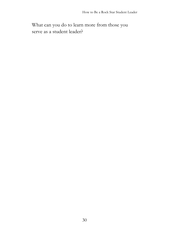What can you do to learn more from those you serve as a student leader?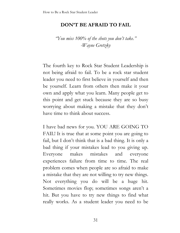#### **DON'T BE AFRAID TO FAIL**

*"You miss 100% of the shots you don't take." -Wayne Gretzky*

The fourth key to Rock Star Student Leadership is not being afraid to fail. To be a rock star student leader you need to first believe in yourself and then be yourself. Learn from others then make it your own and apply what you learn. Many people get to this point and get stuck because they are so busy worrying about making a mistake that they don't have time to think about success.

I have bad news for you. YOU ARE GOING TO FAIL! It is true that at some point you are going to fail, but I don't think that is a bad thing. It is only a bad thing if your mistakes lead to you giving up. Everyone makes mistakes and everyone experiences failure from time to time. The real problem comes when people are so afraid to make a mistake that they are not willing to try new things. Not everything you do will be a huge hit. Sometimes movies flop; sometimes songs aren't a hit. But you have to try new things to find what really works. As a student leader you need to be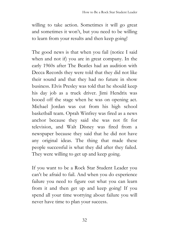willing to take action. Sometimes it will go great and sometimes it won't, but you need to be willing to learn from your results and then keep going!

The good news is that when you fail (notice I said when and not if) you are in great company. In the early 1960s after The Beatles had an audition with Decca Records they were told that they did not like their sound and that they had no future in show business. Elvis Presley was told that he should keep his day job as a truck driver. Jimi Hendrix was booed off the stage when he was on opening act. Michael Jordan was cut from his high school basketball team. Oprah Winfrey was fired as a news anchor because they said she was not fit for television, and Walt Disney was fired from a newspaper because they said that he did not have any original ideas. The thing that made these people successful is what they did after they failed. They were willing to get up and keep going.

If you want to be a Rock Star Student Leader you can't be afraid to fail. And when you do experience failure you need to figure out what you can learn from it and then get up and keep going! If you spend all your time worrying about failure you will never have time to plan your success.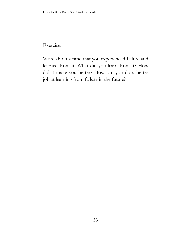### Exercise:

Write about a time that you experienced failure and learned from it. What did you learn from it? How did it make you better? How can you do a better job at learning from failure in the future?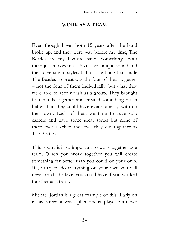# **WORK AS A TEAM**

Even though I was born 15 years after the band broke up, and they were way before my time, The Beatles are my favorite band. Something about them just moves me. I love their unique sound and their diversity in styles. I think the thing that made The Beatles so great was the four of them together – not the four of them individually, but what they were able to accomplish as a group. They brought four minds together and created something much better than they could have ever come up with on their own. Each of them went on to have solo careers and have some great songs but none of them ever reached the level they did together as The Beatles.

This is why it is so important to work together as a team. When you work together you will create something far better than you could on your own. If you try to do everything on your own you will never reach the level you could have if you worked together as a team.

Michael Jordan is a great example of this. Early on in his career he was a phenomenal player but never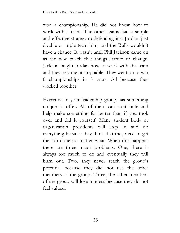won a championship. He did not know how to work with a team. The other teams had a simple and effective strategy to defend against Jordan, just double or triple team him, and the Bulls wouldn't have a chance. It wasn't until Phil Jackson came on as the new coach that things started to change. Jackson taught Jordan how to work with the team and they became unstoppable. They went on to win 6 championships in 8 years. All because they worked together!

Everyone in your leadership group has something unique to offer. All of them can contribute and help make something far better than if you took over and did it yourself. Many student body or organization presidents will step in and do everything because they think that they need to get the job done no matter what. When this happens there are three major problems. One, there is always too much to do and eventually they will burn out. Two, they never reach the group's potential because they did not use the other members of the group. Three, the other members of the group will lose interest because they do not feel valued.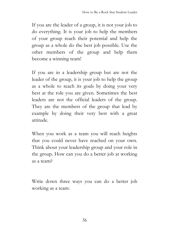If you are the leader of a group, it is not your job to do everything. It is your job to help the members of your group reach their potential and help the group as a whole do the best job possible. Use the other members of the group and help them become a winning team!

If you are in a leadership group but are not the leader of the group, it is your job to help the group as a whole to reach its goals by doing your very best at the role you are given. Sometimes the best leaders are not the official leaders of the group. They are the members of the group that lead by example by doing their very best with a great attitude.

When you work as a team you will reach heights that you could never have reached on your own. Think about your leadership group and your role in the group. How can you do a better job at working as a team?

Write down three ways you can do a better job working as a team: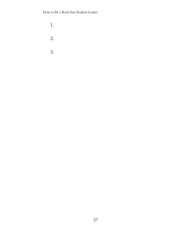How to Be a Rock Star Student Leader

1. 2. 3.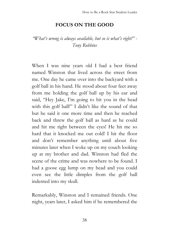#### **FOCUS ON THE GOOD**

# *"What's wrong is always available, but so is what's right!" - Tony Robbins*

When I was nine years old I had a best friend named Winston that lived across the street from me. One day he came over into the backyard with a golf ball in his hand. He stood about four feet away from me holding the golf ball up by his ear and said, "Hey Jake, I'm going to hit you in the head with this golf ball!" I didn't like the sound of that but he said it one more time and then he reached back and threw the golf ball as hard as he could and hit me right between the eyes! He hit me so hard that it knocked me out cold! I hit the floor and don't remember anything until about five minutes later when I woke up on my couch looking up at my brother and dad. Winston had fled the scene of the crime and was nowhere to be found. I had a goose egg lump on my head and you could even see the little dimples from the golf ball indented into my skull.

Remarkably, Winston and I remained friends. One night, years later, I asked him if he remembered the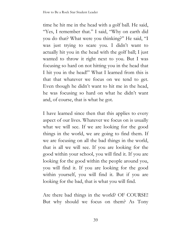time he hit me in the head with a golf ball. He said, "Yes, I remember that." I said, "Why on earth did you do that? What were you thinking?" He said, "I was just trying to scare you. I didn't want to actually hit you in the head with the golf ball; I just wanted to throw it right next to you. But I was focusing so hard on not hitting you in the head that I hit you in the head!" What I learned from this is that that whatever we focus on we tend to get. Even though he didn't want to hit me in the head, he was focusing so hard on what he didn't want and, of course, that is what he got.

I have learned since then that this applies to every aspect of our lives. Whatever we focus on is usually what we will see. If we are looking for the good things in the world, we are going to find them. If we are focusing on all the bad things in the world, that is all we will see. If you are looking for the good within your school, you will find it. If you are looking for the good within the people around you, you will find it. If you are looking for the good within yourself, you will find it. But if you are looking for the bad, that is what you will find.

Are there bad things in the world? OF COURSE! But why should we focus on them? As Tony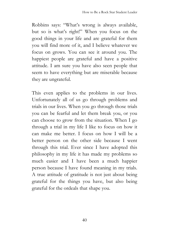Robbins says: "What's wrong is always available, but so is what's right!" When you focus on the good things in your life and are grateful for them you will find more of it, and I believe whatever we focus on grows. You can see it around you. The happiest people are grateful and have a positive attitude. I am sure you have also seen people that seem to have everything but are miserable because they are ungrateful.

This even applies to the problems in our lives. Unfortunately all of us go through problems and trials in our lives. When you go through those trials you can be fearful and let them break you, or you can choose to grow from the situation. When I go through a trial in my life I like to focus on how it can make me better. I focus on how I will be a better person on the other side because I went through this trial. Ever since I have adopted this philosophy in my life it has made my problems so much easier and I have been a much happier person because I have found meaning in my trials. A true attitude of gratitude is not just about being grateful for the things you have, but also being grateful for the ordeals that shape you.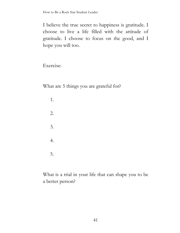How to Be a Rock Star Student Leader

I believe the true secret to happiness is gratitude. I choose to live a life filled with the attitude of gratitude. I choose to focus on the good, and I hope you will too.

Exercise:

What are 5 things you are grateful for?

| 1. |  |  |
|----|--|--|
| 2. |  |  |
| 3. |  |  |
| 4. |  |  |
| 5. |  |  |

What is a trial in your life that can shape you to be a better person?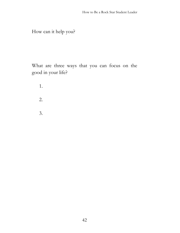How can it help you?

What are three ways that you can focus on the good in your life?

1. 2. 3.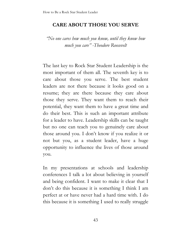#### **CARE ABOUT THOSE YOU SERVE**

*"No one cares how much you know, until they know how much you care" -Theodore Roosevelt*

The last key to Rock Star Student Leadership is the most important of them all. The seventh key is to care about those you serve. The best student leaders are not there because it looks good on a resume; they are there because they care about those they serve. They want them to reach their potential, they want them to have a great time and do their best. This is such an important attribute for a leader to have. Leadership skills can be taught but no one can teach you to genuinely care about those around you. I don't know if you realize it or not but you, as a student leader, have a huge opportunity to influence the lives of those around you.

In my presentations at schools and leadership conferences I talk a lot about believing in yourself and being confident. I want to make it clear that I don't do this because it is something I think I am perfect at or have never had a hard time with. I do this because it is something I used to really struggle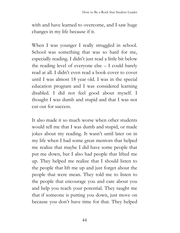with and have learned to overcome, and I saw huge changes in my life because if it.

When I was younger I really struggled in school. School was something that was so hard for me, especially reading. I didn't just read a little bit below the reading level of everyone else – I could barely read at all. I didn't even read a book cover to cover until I was almost 18 year old. I was in the special education program and I was considered learning disabled. I did not feel good about myself. I thought I was dumb and stupid and that I was not cut out for success.

It also made it so much worse when other students would tell me that I was dumb and stupid, or made jokes about my reading. It wasn't until later on in my life when I had some great mentors that helped me realize that maybe I did have some people that put me down, but I also had people that lifted me up. They helped me realize that I should listen to the people that lift me up and just forget about the people that were mean. They told me to listen to the people that encourage you and care about you and help you reach your potential. They taught me that if someone is putting you down, just move on because you don't have time for that. They helped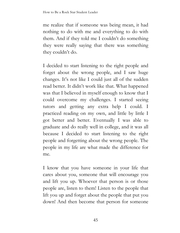me realize that if someone was being mean, it had nothing to do with me and everything to do with them. And if they told me I couldn't do something they were really saying that there was something they couldn't do.

I decided to start listening to the right people and forget about the wrong people, and I saw huge changes. It's not like I could just all of the sudden read better. It didn't work like that. What happened was that I believed in myself enough to know that I could overcome my challenges. I started seeing tutors and getting any extra help I could. I practiced reading on my own, and little by little I got better and better. Eventually I was able to graduate and do really well in college, and it was all because I decided to start listening to the right people and forgetting about the wrong people. The people in my life are what made the difference for me.

I know that you have someone in your life that cares about you, someone that will encourage you and lift you up. Whoever that person is or those people are, listen to them! Listen to the people that lift you up and forget about the people that put you down! And then become that person for someone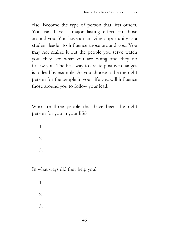else. Become the type of person that lifts others. You can have a major lasting effect on those around you. You have an amazing opportunity as a student leader to influence those around you. You may not realize it but the people you serve watch you; they see what you are doing and they do follow you. The best way to create positive changes is to lead by example. As you choose to be the right person for the people in your life you will influence those around you to follow your lead.

Who are three people that have been the right person for you in your life?

1. 2. 3.

In what ways did they help you?

1. 2. 3.